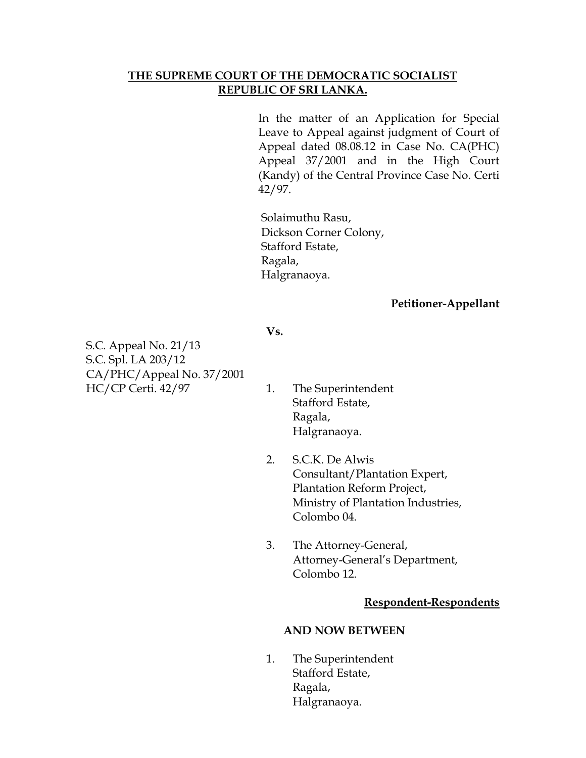#### **THE SUPREME COURT OF THE DEMOCRATIC SOCIALIST REPUBLIC OF SRI LANKA.**

In the matter of an Application for Special Leave to Appeal against judgment of Court of Appeal dated 08.08.12 in Case No. CA(PHC) Appeal 37/2001 and in the High Court (Kandy) of the Central Province Case No. Certi 42/97.

Solaimuthu Rasu, Dickson Corner Colony, Stafford Estate, Ragala, Halgranaoya.

**Vs.**

#### **Petitioner-Appellant**

S.C. Appeal No. 21/13 S.C. Spl. LA 203/12 CA/PHC/Appeal No. 37/2001 HC/CP Certi. 42/97 1. The Superintendent

- Stafford Estate, Ragala, Halgranaoya.
- 2. S.C.K. De Alwis Consultant/Plantation Expert, Plantation Reform Project, Ministry of Plantation Industries, Colombo 04.
- 3. The Attorney-General, Attorney-General's Department, Colombo 12.

#### **Respondent-Respondents**

#### **AND NOW BETWEEN**

1. The Superintendent Stafford Estate, Ragala, Halgranaoya.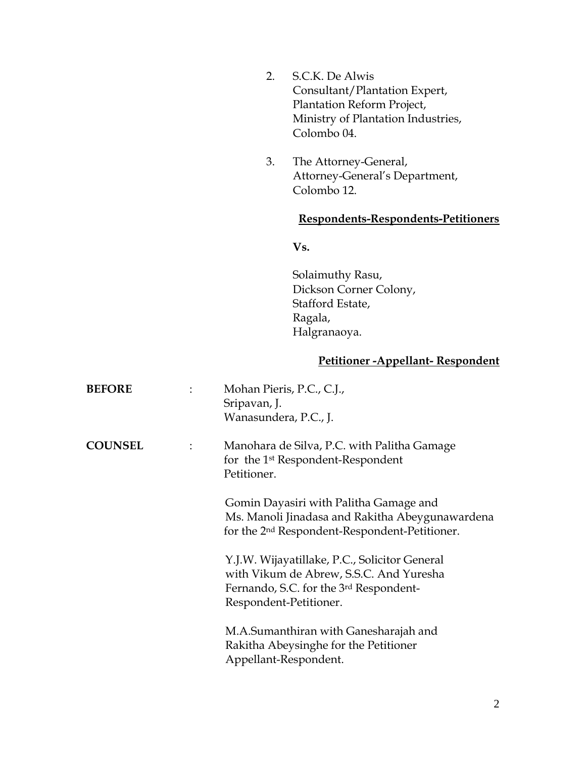- 2. S.C.K. De Alwis Consultant/Plantation Expert, Plantation Reform Project, Ministry of Plantation Industries, Colombo 04.
- 3. The Attorney-General, Attorney-General's Department, Colombo 12.

#### **Respondents-Respondents-Petitioners**

**Vs.**

Solaimuthy Rasu, Dickson Corner Colony, Stafford Estate, Ragala, Halgranaoya.

## **Petitioner -Appellant- Respondent**

| <b>BEFORE</b>  |   | Mohan Pieris, P.C., C.J.,<br>Sripavan, J.<br>Wanasundera, P.C., J.                                                                                           |
|----------------|---|--------------------------------------------------------------------------------------------------------------------------------------------------------------|
| <b>COUNSEL</b> | ÷ | Manohara de Silva, P.C. with Palitha Gamage<br>for the 1 <sup>st</sup> Respondent-Respondent<br>Petitioner.                                                  |
|                |   | Gomin Dayasiri with Palitha Gamage and<br>Ms. Manoli Jinadasa and Rakitha Abeygunawardena<br>for the 2 <sup>nd</sup> Respondent-Respondent-Petitioner.       |
|                |   | Y.J.W. Wijayatillake, P.C., Solicitor General<br>with Vikum de Abrew, S.S.C. And Yuresha<br>Fernando, S.C. for the 3rd Respondent-<br>Respondent-Petitioner. |
|                |   | M.A.Sumanthiran with Ganesharajah and<br>Rakitha Abeysinghe for the Petitioner<br>Appellant-Respondent.                                                      |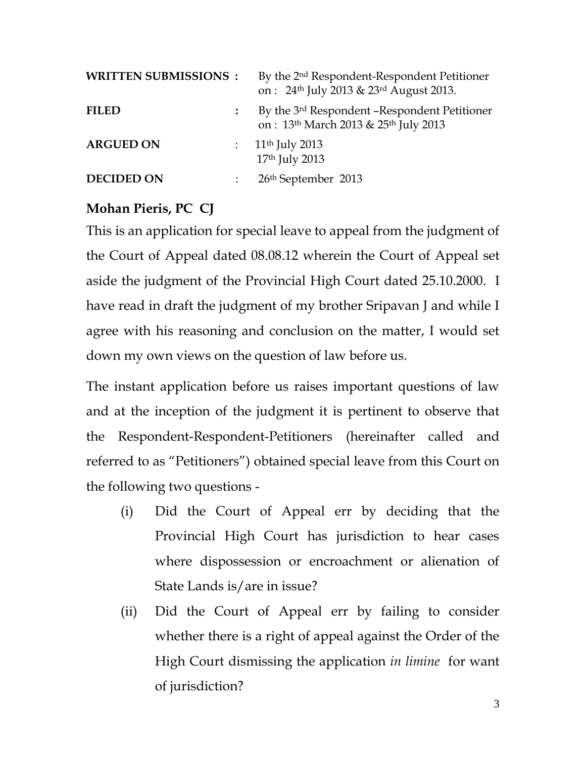| <b>WRITTEN SUBMISSIONS :</b> |                           | By the 2 <sup>nd</sup> Respondent-Respondent Petitioner<br>on: 24 <sup>th</sup> July 2013 & 23 <sup>rd</sup> August 2013. |
|------------------------------|---------------------------|---------------------------------------------------------------------------------------------------------------------------|
| <b>FILED</b>                 |                           | By the 3 <sup>rd</sup> Respondent -Respondent Petitioner<br>on: 13 <sup>th</sup> March 2013 & 25 <sup>th</sup> July 2013  |
| <b>ARGUED ON</b>             |                           | : $11^{th}$ July 2013<br>17th July 2013                                                                                   |
| <b>DECIDED ON</b>            | $\mathbb{Z}^{\mathbb{Z}}$ | 26 <sup>th</sup> September 2013                                                                                           |

# **Mohan Pieris, PC CJ**

This is an application for special leave to appeal from the judgment of the Court of Appeal dated 08.08.12 wherein the Court of Appeal set aside the judgment of the Provincial High Court dated 25.10.2000. I have read in draft the judgment of my brother Sripavan J and while I agree with his reasoning and conclusion on the matter, I would set down my own views on the question of law before us.

The instant application before us raises important questions of law and at the inception of the judgment it is pertinent to observe that the Respondent-Respondent-Petitioners (hereinafter called and referred to as "Petitioners") obtained special leave from this Court on the following two questions -

- (i) Did the Court of Appeal err by deciding that the Provincial High Court has jurisdiction to hear cases where dispossession or encroachment or alienation of State Lands is/are in issue?
- (ii) Did the Court of Appeal err by failing to consider whether there is a right of appeal against the Order of the High Court dismissing the application *in limine* for want of jurisdiction?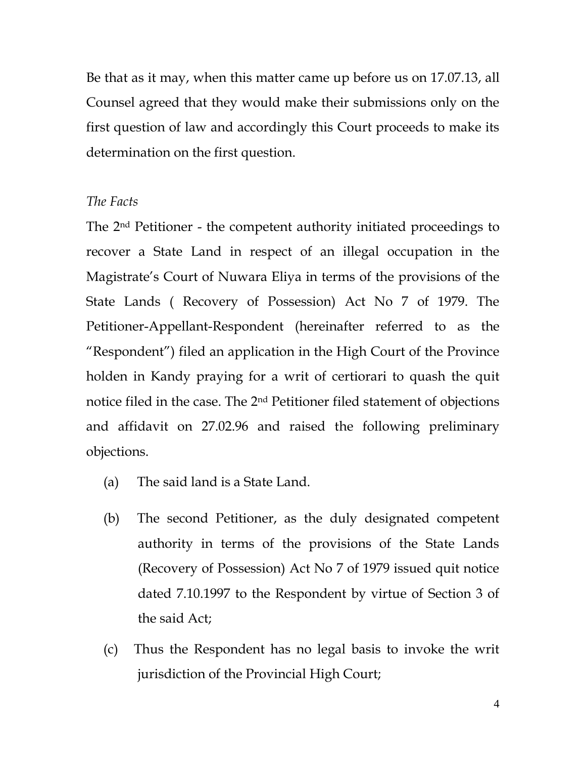Be that as it may, when this matter came up before us on 17.07.13, all Counsel agreed that they would make their submissions only on the first question of law and accordingly this Court proceeds to make its determination on the first question.

### *The Facts*

The 2nd Petitioner - the competent authority initiated proceedings to recover a State Land in respect of an illegal occupation in the Magistrate's Court of Nuwara Eliya in terms of the provisions of the State Lands ( Recovery of Possession) Act No 7 of 1979. The Petitioner-Appellant-Respondent (hereinafter referred to as the "Respondent") filed an application in the High Court of the Province holden in Kandy praying for a writ of certiorari to quash the quit notice filed in the case. The 2nd Petitioner filed statement of objections and affidavit on 27.02.96 and raised the following preliminary objections.

- (a) The said land is a State Land.
- (b) The second Petitioner, as the duly designated competent authority in terms of the provisions of the State Lands (Recovery of Possession) Act No 7 of 1979 issued quit notice dated 7.10.1997 to the Respondent by virtue of Section 3 of the said Act;
- (c) Thus the Respondent has no legal basis to invoke the writ jurisdiction of the Provincial High Court;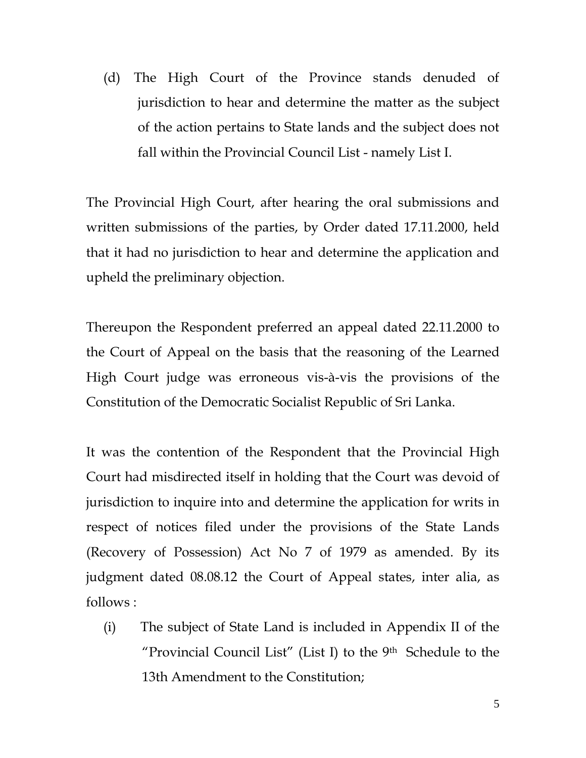(d) The High Court of the Province stands denuded of jurisdiction to hear and determine the matter as the subject of the action pertains to State lands and the subject does not fall within the Provincial Council List - namely List I.

The Provincial High Court, after hearing the oral submissions and written submissions of the parties, by Order dated 17.11.2000, held that it had no jurisdiction to hear and determine the application and upheld the preliminary objection.

Thereupon the Respondent preferred an appeal dated 22.11.2000 to the Court of Appeal on the basis that the reasoning of the Learned High Court judge was erroneous vis-à-vis the provisions of the Constitution of the Democratic Socialist Republic of Sri Lanka.

It was the contention of the Respondent that the Provincial High Court had misdirected itself in holding that the Court was devoid of jurisdiction to inquire into and determine the application for writs in respect of notices filed under the provisions of the State Lands (Recovery of Possession) Act No 7 of 1979 as amended. By its judgment dated 08.08.12 the Court of Appeal states, inter alia, as follows :

(i) The subject of State Land is included in Appendix II of the "Provincial Council List" (List I) to the  $9<sup>th</sup>$  Schedule to the 13th Amendment to the Constitution;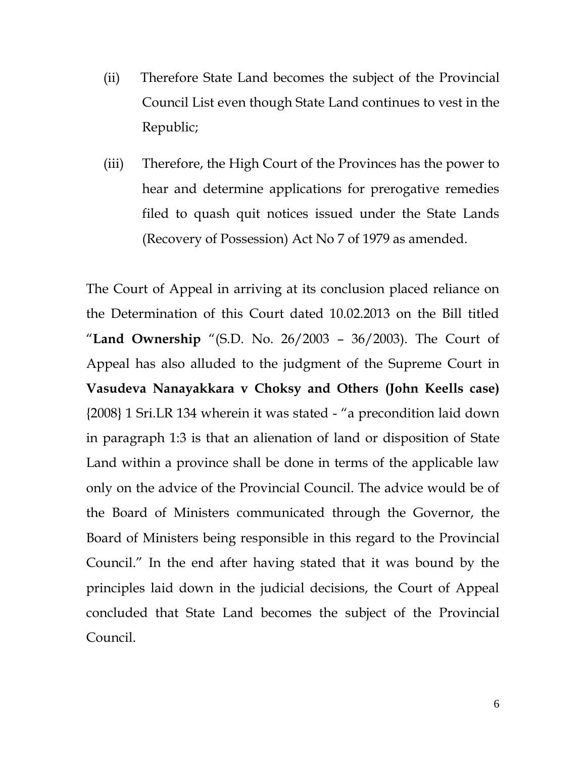- (ii) Therefore State Land becomes the subject of the Provincial Council List even though State Land continues to vest in the Republic;
- (iii) Therefore, the High Court of the Provinces has the power to hear and determine applications for prerogative remedies filed to quash quit notices issued under the State Lands (Recovery of Possession) Act No 7 of 1979 as amended.

The Court of Appeal in arriving at its conclusion placed reliance on the Determination of this Court dated 10.02.2013 on the Bill titled "**Land Ownership** "(S.D. No. 26/2003 – 36/2003). The Court of Appeal has also alluded to the judgment of the Supreme Court in **Vasudeva Nanayakkara v Choksy and Others (John Keells case)** {2008} 1 Sri.LR 134 wherein it was stated - "a precondition laid down in paragraph 1:3 is that an alienation of land or disposition of State Land within a province shall be done in terms of the applicable law only on the advice of the Provincial Council. The advice would be of the Board of Ministers communicated through the Governor, the Board of Ministers being responsible in this regard to the Provincial Council." In the end after having stated that it was bound by the principles laid down in the judicial decisions, the Court of Appeal concluded that State Land becomes the subject of the Provincial Council.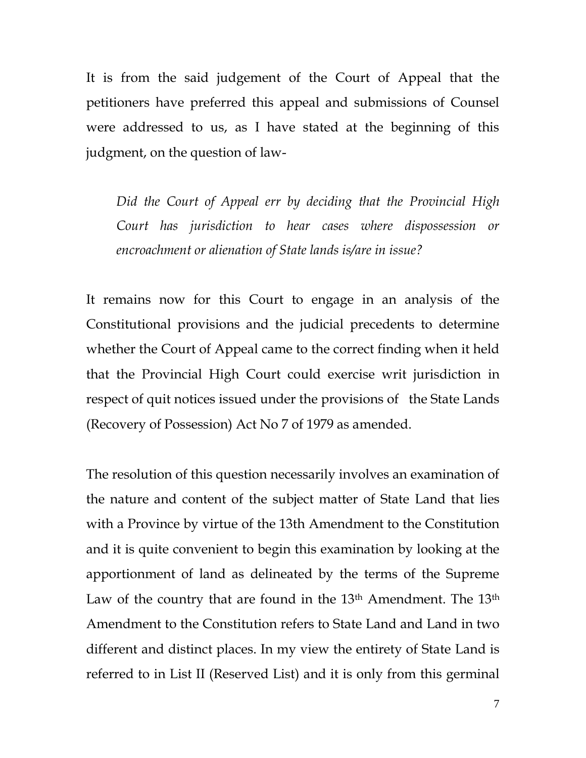It is from the said judgement of the Court of Appeal that the petitioners have preferred this appeal and submissions of Counsel were addressed to us, as I have stated at the beginning of this judgment, on the question of law-

*Did the Court of Appeal err by deciding that the Provincial High Court has jurisdiction to hear cases where dispossession or encroachment or alienation of State lands is/are in issue?*

It remains now for this Court to engage in an analysis of the Constitutional provisions and the judicial precedents to determine whether the Court of Appeal came to the correct finding when it held that the Provincial High Court could exercise writ jurisdiction in respect of quit notices issued under the provisions of the State Lands (Recovery of Possession) Act No 7 of 1979 as amended.

The resolution of this question necessarily involves an examination of the nature and content of the subject matter of State Land that lies with a Province by virtue of the 13th Amendment to the Constitution and it is quite convenient to begin this examination by looking at the apportionment of land as delineated by the terms of the Supreme Law of the country that are found in the 13<sup>th</sup> Amendment. The 13<sup>th</sup> Amendment to the Constitution refers to State Land and Land in two different and distinct places. In my view the entirety of State Land is referred to in List II (Reserved List) and it is only from this germinal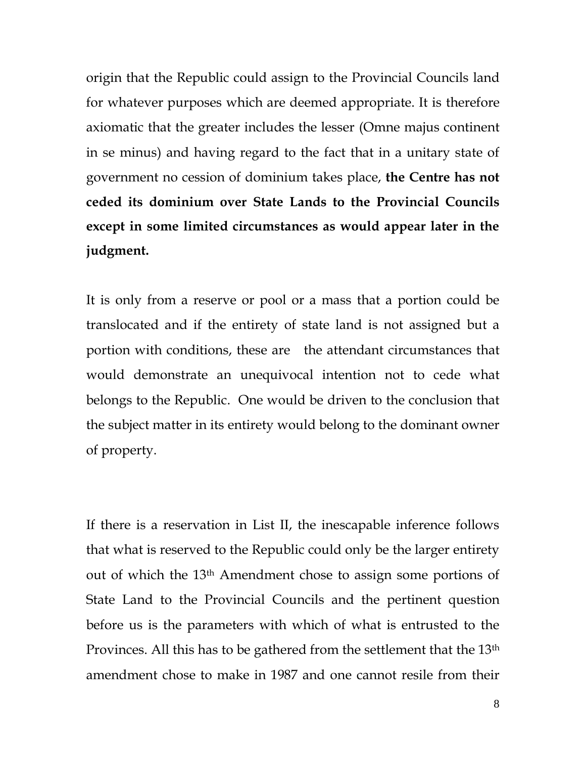origin that the Republic could assign to the Provincial Councils land for whatever purposes which are deemed appropriate. It is therefore axiomatic that the greater includes the lesser (Omne majus continent in se minus) and having regard to the fact that in a unitary state of government no cession of dominium takes place, **the Centre has not ceded its dominium over State Lands to the Provincial Councils except in some limited circumstances as would appear later in the judgment.**

It is only from a reserve or pool or a mass that a portion could be translocated and if the entirety of state land is not assigned but a portion with conditions, these are the attendant circumstances that would demonstrate an unequivocal intention not to cede what belongs to the Republic. One would be driven to the conclusion that the subject matter in its entirety would belong to the dominant owner of property.

If there is a reservation in List II, the inescapable inference follows that what is reserved to the Republic could only be the larger entirety out of which the 13th Amendment chose to assign some portions of State Land to the Provincial Councils and the pertinent question before us is the parameters with which of what is entrusted to the Provinces. All this has to be gathered from the settlement that the 13<sup>th</sup> amendment chose to make in 1987 and one cannot resile from their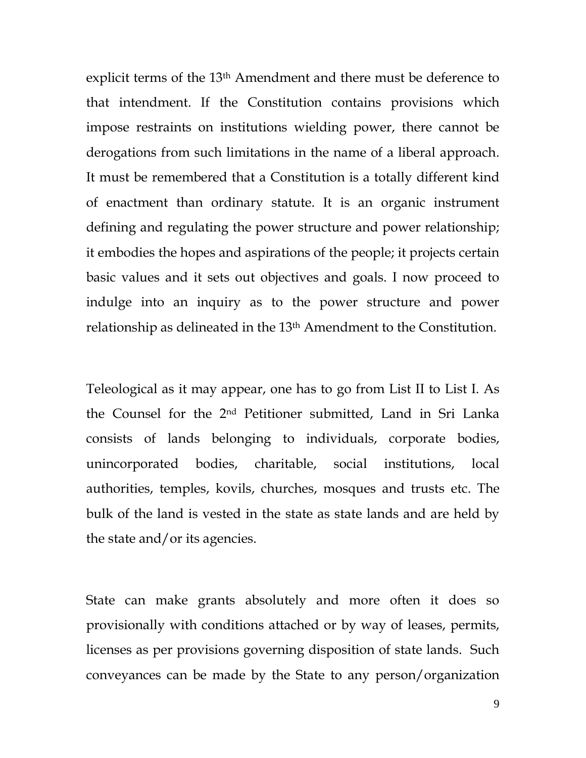explicit terms of the 13th Amendment and there must be deference to that intendment. If the Constitution contains provisions which impose restraints on institutions wielding power, there cannot be derogations from such limitations in the name of a liberal approach. It must be remembered that a Constitution is a totally different kind of enactment than ordinary statute. It is an organic instrument defining and regulating the power structure and power relationship; it embodies the hopes and aspirations of the people; it projects certain basic values and it sets out objectives and goals. I now proceed to indulge into an inquiry as to the power structure and power relationship as delineated in the 13th Amendment to the Constitution.

Teleological as it may appear, one has to go from List II to List I. As the Counsel for the 2nd Petitioner submitted, Land in Sri Lanka consists of lands belonging to individuals, corporate bodies, unincorporated bodies, charitable, social institutions, local authorities, temples, kovils, churches, mosques and trusts etc. The bulk of the land is vested in the state as state lands and are held by the state and/or its agencies.

State can make grants absolutely and more often it does so provisionally with conditions attached or by way of leases, permits, licenses as per provisions governing disposition of state lands. Such conveyances can be made by the State to any person/organization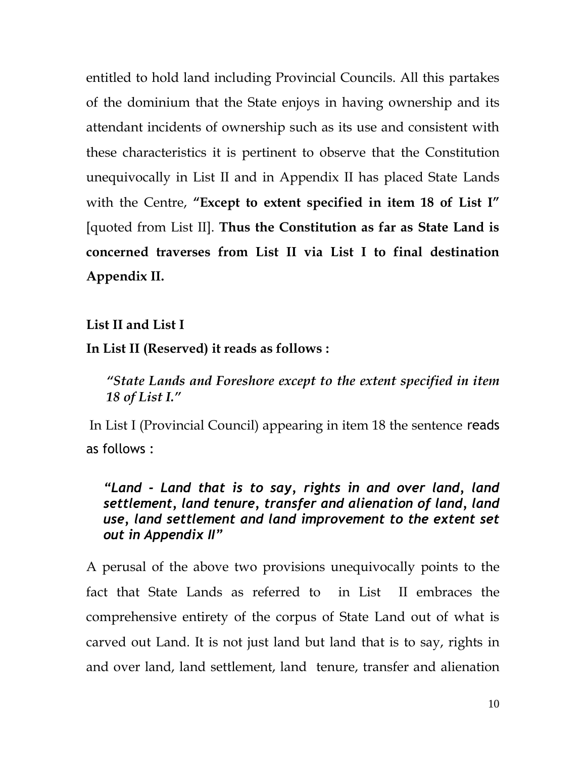entitled to hold land including Provincial Councils. All this partakes of the dominium that the State enjoys in having ownership and its attendant incidents of ownership such as its use and consistent with these characteristics it is pertinent to observe that the Constitution unequivocally in List II and in Appendix II has placed State Lands with the Centre, **"Except to extent specified in item 18 of List I"** [quoted from List II]. **Thus the Constitution as far as State Land is concerned traverses from List II via List I to final destination Appendix II.** 

## **List II and List I**

**In List II (Reserved) it reads as follows :**

*"State Lands and Foreshore except to the extent specified in item 18 of List I."*

In List I (Provincial Council) appearing in item 18 the sentence reads as follows :

*"Land - Land that is to say, rights in and over land, land settlement, land tenure, transfer and alienation of land, land use, land settlement and land improvement to the extent set out in Appendix II"*

A perusal of the above two provisions unequivocally points to the fact that State Lands as referred to in List II embraces the comprehensive entirety of the corpus of State Land out of what is carved out Land. It is not just land but land that is to say, rights in and over land, land settlement, land tenure, transfer and alienation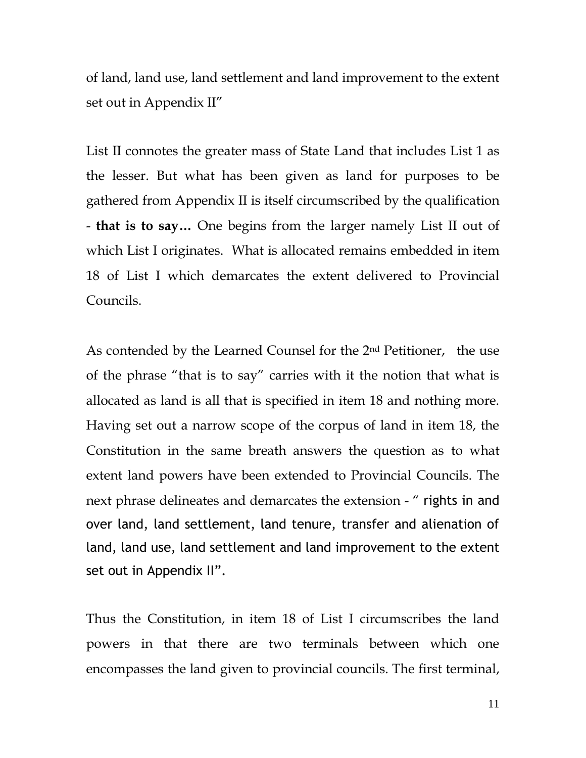of land, land use, land settlement and land improvement to the extent set out in Appendix II"

List II connotes the greater mass of State Land that includes List 1 as the lesser. But what has been given as land for purposes to be gathered from Appendix II is itself circumscribed by the qualification - **that is to say…** One begins from the larger namely List II out of which List I originates. What is allocated remains embedded in item 18 of List I which demarcates the extent delivered to Provincial Councils.

As contended by the Learned Counsel for the 2nd Petitioner, the use of the phrase "that is to say" carries with it the notion that what is allocated as land is all that is specified in item 18 and nothing more. Having set out a narrow scope of the corpus of land in item 18, the Constitution in the same breath answers the question as to what extent land powers have been extended to Provincial Councils. The next phrase delineates and demarcates the extension - " rights in and over land, land settlement, land tenure, transfer and alienation of land, land use, land settlement and land improvement to the extent set out in Appendix II".

Thus the Constitution, in item 18 of List I circumscribes the land powers in that there are two terminals between which one encompasses the land given to provincial councils. The first terminal,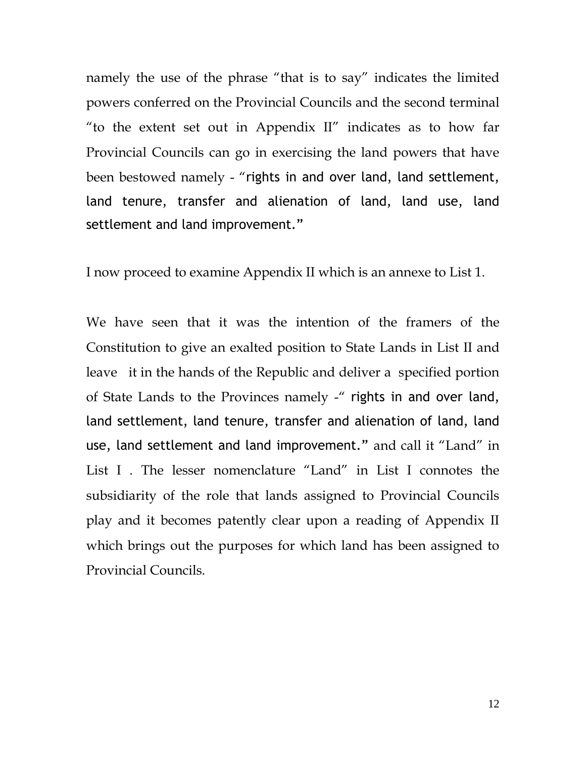namely the use of the phrase "that is to say" indicates the limited powers conferred on the Provincial Councils and the second terminal "to the extent set out in Appendix II" indicates as to how far Provincial Councils can go in exercising the land powers that have been bestowed namely - "rights in and over land, land settlement, land tenure, transfer and alienation of land, land use, land settlement and land improvement."

I now proceed to examine Appendix II which is an annexe to List 1.

We have seen that it was the intention of the framers of the Constitution to give an exalted position to State Lands in List II and leave it in the hands of the Republic and deliver a specified portion of State Lands to the Provinces namely -" rights in and over land, land settlement, land tenure, transfer and alienation of land, land use, land settlement and land improvement." and call it "Land" in List I . The lesser nomenclature "Land" in List I connotes the subsidiarity of the role that lands assigned to Provincial Councils play and it becomes patently clear upon a reading of Appendix II which brings out the purposes for which land has been assigned to Provincial Councils.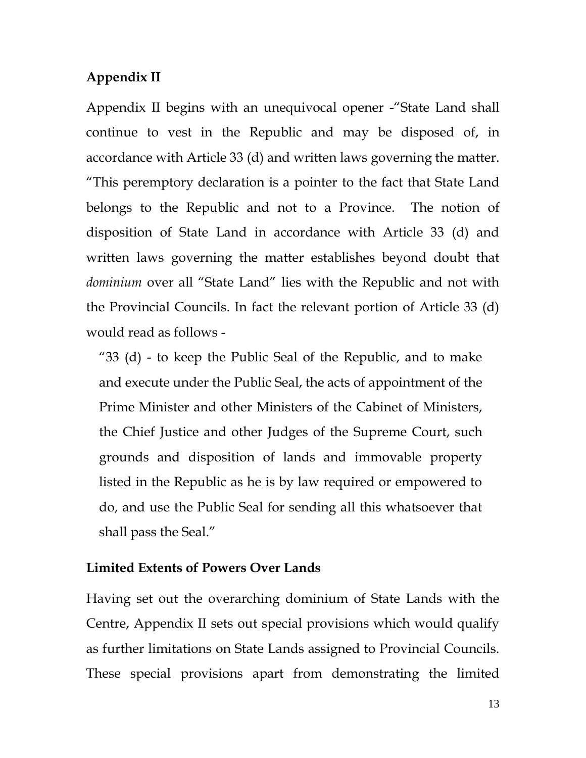## **Appendix II**

Appendix II begins with an unequivocal opener -"State Land shall continue to vest in the Republic and may be disposed of, in accordance with Article 33 (d) and written laws governing the matter. "This peremptory declaration is a pointer to the fact that State Land belongs to the Republic and not to a Province. The notion of disposition of State Land in accordance with Article 33 (d) and written laws governing the matter establishes beyond doubt that *dominium* over all "State Land" lies with the Republic and not with the Provincial Councils. In fact the relevant portion of Article 33 (d) would read as follows -

"33 (d) - to keep the Public Seal of the Republic, and to make and execute under the Public Seal, the acts of appointment of the Prime Minister and other Ministers of the Cabinet of Ministers, the Chief Justice and other Judges of the Supreme Court, such grounds and disposition of lands and immovable property listed in the Republic as he is by law required or empowered to do, and use the Public Seal for sending all this whatsoever that shall pass the Seal."

### **Limited Extents of Powers Over Lands**

Having set out the overarching dominium of State Lands with the Centre, Appendix II sets out special provisions which would qualify as further limitations on State Lands assigned to Provincial Councils. These special provisions apart from demonstrating the limited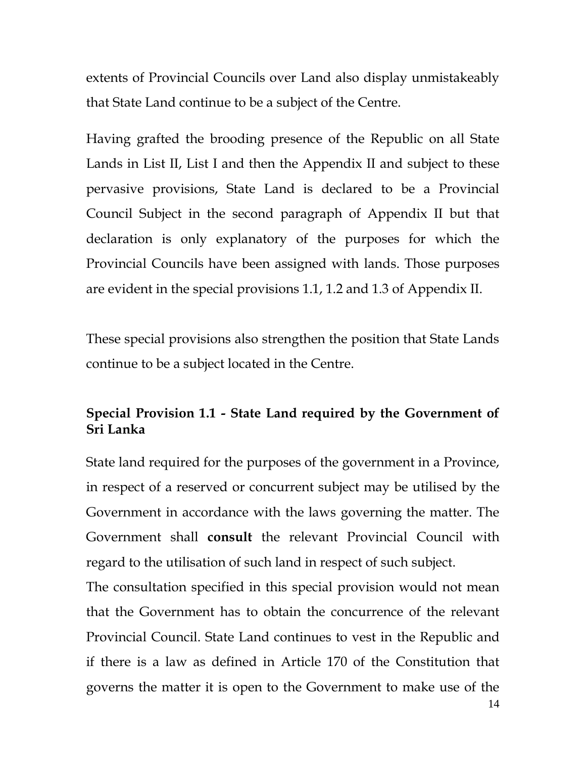extents of Provincial Councils over Land also display unmistakeably that State Land continue to be a subject of the Centre.

Having grafted the brooding presence of the Republic on all State Lands in List II, List I and then the Appendix II and subject to these pervasive provisions, State Land is declared to be a Provincial Council Subject in the second paragraph of Appendix II but that declaration is only explanatory of the purposes for which the Provincial Councils have been assigned with lands. Those purposes are evident in the special provisions 1.1, 1.2 and 1.3 of Appendix II.

These special provisions also strengthen the position that State Lands continue to be a subject located in the Centre.

# **Special Provision 1.1 - State Land required by the Government of Sri Lanka**

State land required for the purposes of the government in a Province, in respect of a reserved or concurrent subject may be utilised by the Government in accordance with the laws governing the matter. The Government shall **consult** the relevant Provincial Council with regard to the utilisation of such land in respect of such subject.

The consultation specified in this special provision would not mean that the Government has to obtain the concurrence of the relevant Provincial Council. State Land continues to vest in the Republic and if there is a law as defined in Article 170 of the Constitution that governs the matter it is open to the Government to make use of the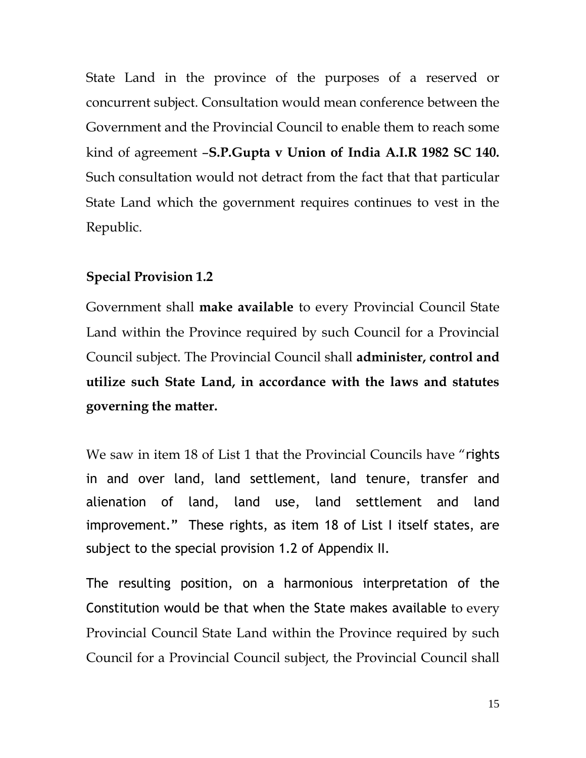State Land in the province of the purposes of a reserved or concurrent subject. Consultation would mean conference between the Government and the Provincial Council to enable them to reach some kind of agreement –**S.P.Gupta v Union of India A.I.R 1982 SC 140.** Such consultation would not detract from the fact that that particular State Land which the government requires continues to vest in the Republic.

### **Special Provision 1.2**

Government shall **make available** to every Provincial Council State Land within the Province required by such Council for a Provincial Council subject. The Provincial Council shall **administer, control and utilize such State Land, in accordance with the laws and statutes governing the matter.**

We saw in item 18 of List 1 that the Provincial Councils have "rights" in and over land, land settlement, land tenure, transfer and alienation of land, land use, land settlement and land improvement." These rights, as item 18 of List I itself states, are subject to the special provision 1.2 of Appendix II.

The resulting position, on a harmonious interpretation of the Constitution would be that when the State makes available to every Provincial Council State Land within the Province required by such Council for a Provincial Council subject, the Provincial Council shall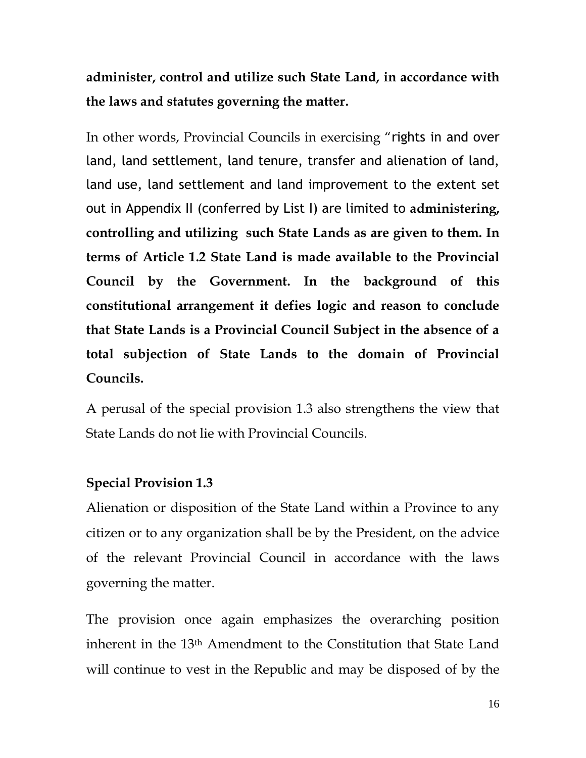**administer, control and utilize such State Land, in accordance with the laws and statutes governing the matter.**

In other words, Provincial Councils in exercising "rights in and over land, land settlement, land tenure, transfer and alienation of land, land use, land settlement and land improvement to the extent set out in Appendix II (conferred by List I) are limited to **administering, controlling and utilizing such State Lands as are given to them. In terms of Article 1.2 State Land is made available to the Provincial Council by the Government. In the background of this constitutional arrangement it defies logic and reason to conclude that State Lands is a Provincial Council Subject in the absence of a total subjection of State Lands to the domain of Provincial Councils.**

A perusal of the special provision 1.3 also strengthens the view that State Lands do not lie with Provincial Councils.

# **Special Provision 1.3**

Alienation or disposition of the State Land within a Province to any citizen or to any organization shall be by the President, on the advice of the relevant Provincial Council in accordance with the laws governing the matter.

The provision once again emphasizes the overarching position inherent in the 13th Amendment to the Constitution that State Land will continue to vest in the Republic and may be disposed of by the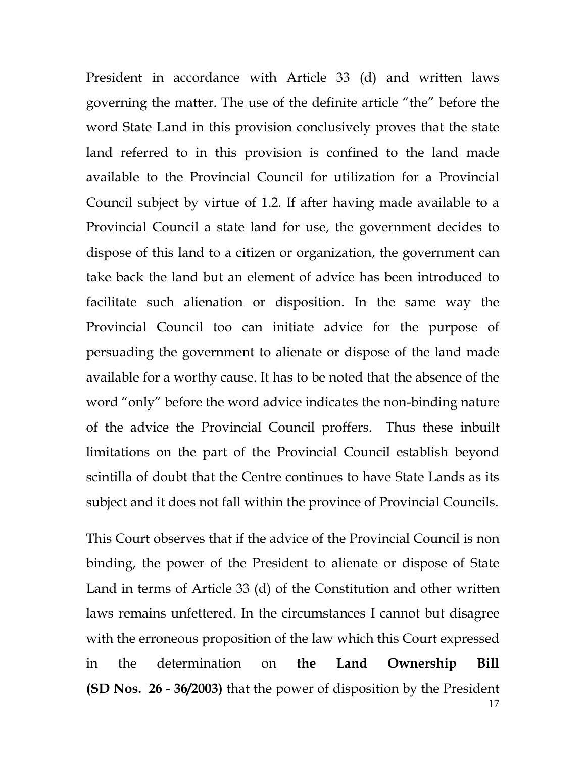President in accordance with Article 33 (d) and written laws governing the matter. The use of the definite article "the" before the word State Land in this provision conclusively proves that the state land referred to in this provision is confined to the land made available to the Provincial Council for utilization for a Provincial Council subject by virtue of 1.2. If after having made available to a Provincial Council a state land for use, the government decides to dispose of this land to a citizen or organization, the government can take back the land but an element of advice has been introduced to facilitate such alienation or disposition. In the same way the Provincial Council too can initiate advice for the purpose of persuading the government to alienate or dispose of the land made available for a worthy cause. It has to be noted that the absence of the word "only" before the word advice indicates the non-binding nature of the advice the Provincial Council proffers. Thus these inbuilt limitations on the part of the Provincial Council establish beyond scintilla of doubt that the Centre continues to have State Lands as its subject and it does not fall within the province of Provincial Councils.

17 This Court observes that if the advice of the Provincial Council is non binding, the power of the President to alienate or dispose of State Land in terms of Article 33 (d) of the Constitution and other written laws remains unfettered. In the circumstances I cannot but disagree with the erroneous proposition of the law which this Court expressed in the determination on **the Land Ownership Bill (SD Nos. 26 - 36/2003)** that the power of disposition by the President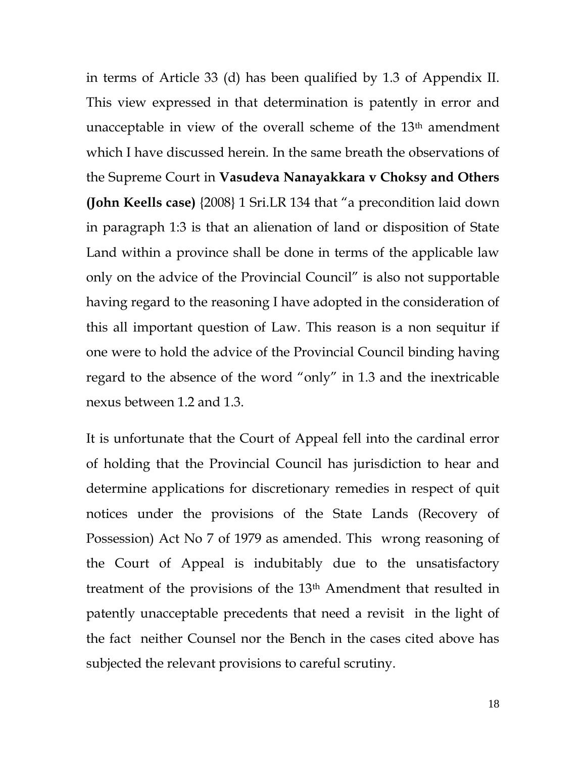in terms of Article 33 (d) has been qualified by 1.3 of Appendix II. This view expressed in that determination is patently in error and unacceptable in view of the overall scheme of the 13<sup>th</sup> amendment which I have discussed herein. In the same breath the observations of the Supreme Court in **Vasudeva Nanayakkara v Choksy and Others (John Keells case)** {2008} 1 Sri.LR 134 that "a precondition laid down in paragraph 1:3 is that an alienation of land or disposition of State Land within a province shall be done in terms of the applicable law only on the advice of the Provincial Council" is also not supportable having regard to the reasoning I have adopted in the consideration of this all important question of Law. This reason is a non sequitur if one were to hold the advice of the Provincial Council binding having regard to the absence of the word "only" in 1.3 and the inextricable nexus between 1.2 and 1.3.

It is unfortunate that the Court of Appeal fell into the cardinal error of holding that the Provincial Council has jurisdiction to hear and determine applications for discretionary remedies in respect of quit notices under the provisions of the State Lands (Recovery of Possession) Act No 7 of 1979 as amended. This wrong reasoning of the Court of Appeal is indubitably due to the unsatisfactory treatment of the provisions of the 13th Amendment that resulted in patently unacceptable precedents that need a revisit in the light of the fact neither Counsel nor the Bench in the cases cited above has subjected the relevant provisions to careful scrutiny.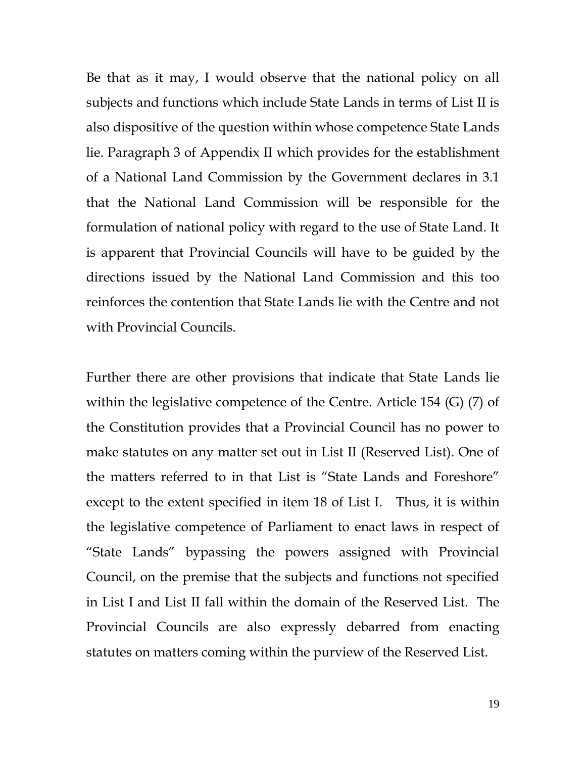Be that as it may, I would observe that the national policy on all subjects and functions which include State Lands in terms of List II is also dispositive of the question within whose competence State Lands lie. Paragraph 3 of Appendix II which provides for the establishment of a National Land Commission by the Government declares in 3.1 that the National Land Commission will be responsible for the formulation of national policy with regard to the use of State Land. It is apparent that Provincial Councils will have to be guided by the directions issued by the National Land Commission and this too reinforces the contention that State Lands lie with the Centre and not with Provincial Councils.

Further there are other provisions that indicate that State Lands lie within the legislative competence of the Centre. Article 154 (G) (7) of the Constitution provides that a Provincial Council has no power to make statutes on any matter set out in List II (Reserved List). One of the matters referred to in that List is "State Lands and Foreshore" except to the extent specified in item 18 of List I. Thus, it is within the legislative competence of Parliament to enact laws in respect of "State Lands" bypassing the powers assigned with Provincial Council, on the premise that the subjects and functions not specified in List I and List II fall within the domain of the Reserved List. The Provincial Councils are also expressly debarred from enacting statutes on matters coming within the purview of the Reserved List.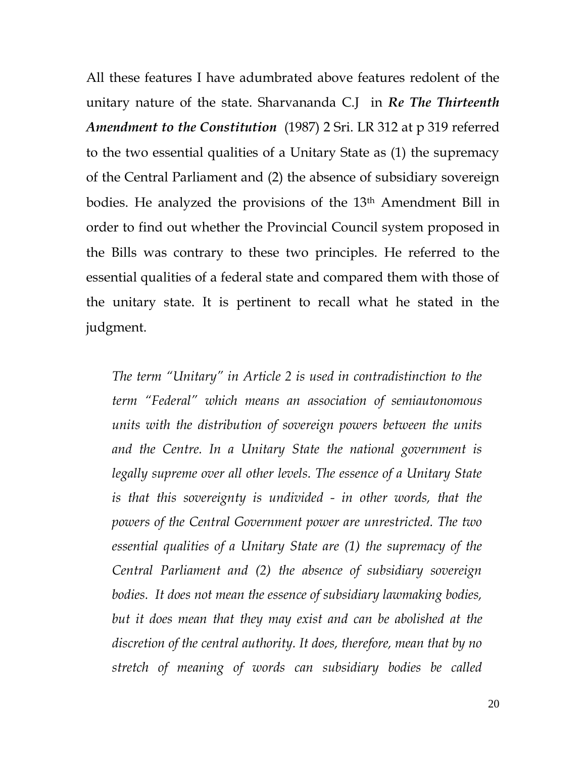All these features I have adumbrated above features redolent of the unitary nature of the state. Sharvananda C.J in *Re The Thirteenth Amendment to the Constitution* (1987) 2 Sri. LR 312 at p 319 referred to the two essential qualities of a Unitary State as (1) the supremacy of the Central Parliament and (2) the absence of subsidiary sovereign bodies. He analyzed the provisions of the 13th Amendment Bill in order to find out whether the Provincial Council system proposed in the Bills was contrary to these two principles. He referred to the essential qualities of a federal state and compared them with those of the unitary state. It is pertinent to recall what he stated in the judgment.

*The term "Unitary" in Article 2 is used in contradistinction to the term "Federal" which means an association of semiautonomous units with the distribution of sovereign powers between the units and the Centre. In a Unitary State the national government is legally supreme over all other levels. The essence of a Unitary State is that this sovereignty is undivided - in other words, that the powers of the Central Government power are unrestricted. The two essential qualities of a Unitary State are (1) the supremacy of the Central Parliament and (2) the absence of subsidiary sovereign bodies. It does not mean the essence of subsidiary lawmaking bodies, but it does mean that they may exist and can be abolished at the discretion of the central authority. It does, therefore, mean that by no stretch of meaning of words can subsidiary bodies be called*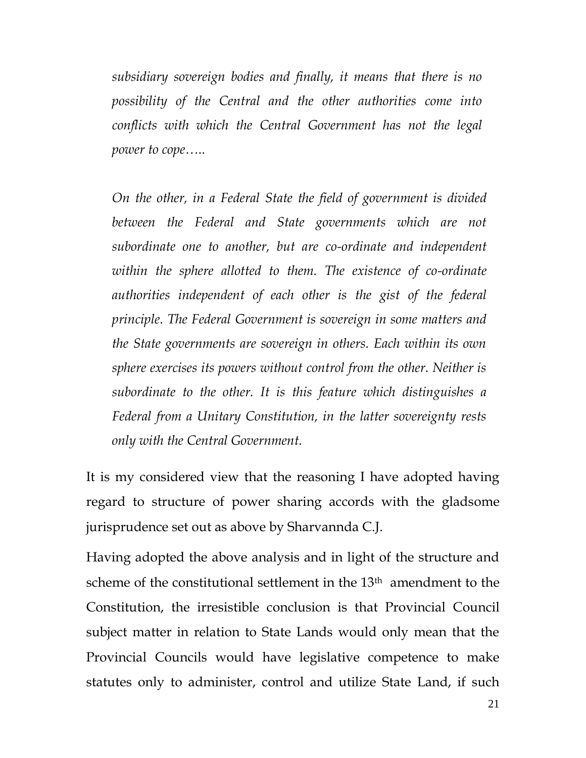*subsidiary sovereign bodies and finally, it means that there is no possibility of the Central and the other authorities come into conflicts with which the Central Government has not the legal power to cope…..*

*On the other, in a Federal State the field of government is divided between the Federal and State governments which are not subordinate one to another, but are co-ordinate and independent within the sphere allotted to them. The existence of co-ordinate authorities independent of each other is the gist of the federal principle. The Federal Government is sovereign in some matters and the State governments are sovereign in others. Each within its own sphere exercises its powers without control from the other. Neither is subordinate to the other. It is this feature which distinguishes a Federal from a Unitary Constitution, in the latter sovereignty rests only with the Central Government.* 

It is my considered view that the reasoning I have adopted having regard to structure of power sharing accords with the gladsome jurisprudence set out as above by Sharvannda C.J.

Having adopted the above analysis and in light of the structure and scheme of the constitutional settlement in the 13<sup>th</sup> amendment to the Constitution, the irresistible conclusion is that Provincial Council subject matter in relation to State Lands would only mean that the Provincial Councils would have legislative competence to make statutes only to administer, control and utilize State Land, if such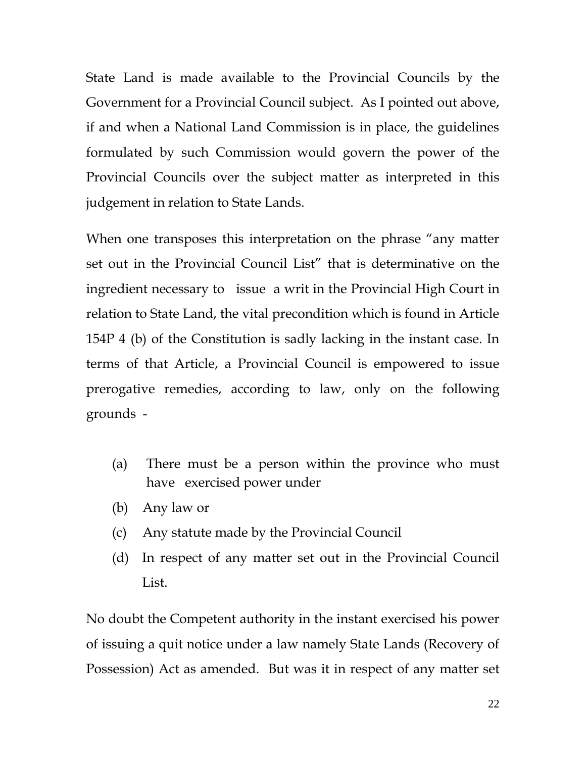State Land is made available to the Provincial Councils by the Government for a Provincial Council subject. As I pointed out above, if and when a National Land Commission is in place, the guidelines formulated by such Commission would govern the power of the Provincial Councils over the subject matter as interpreted in this judgement in relation to State Lands.

When one transposes this interpretation on the phrase "any matter set out in the Provincial Council List" that is determinative on the ingredient necessary to issue a writ in the Provincial High Court in relation to State Land, the vital precondition which is found in Article 154P 4 (b) of the Constitution is sadly lacking in the instant case. In terms of that Article, a Provincial Council is empowered to issue prerogative remedies, according to law, only on the following grounds -

- (a) There must be a person within the province who must have exercised power under
- (b) Any law or
- (c) Any statute made by the Provincial Council
- (d) In respect of any matter set out in the Provincial Council List.

No doubt the Competent authority in the instant exercised his power of issuing a quit notice under a law namely State Lands (Recovery of Possession) Act as amended. But was it in respect of any matter set